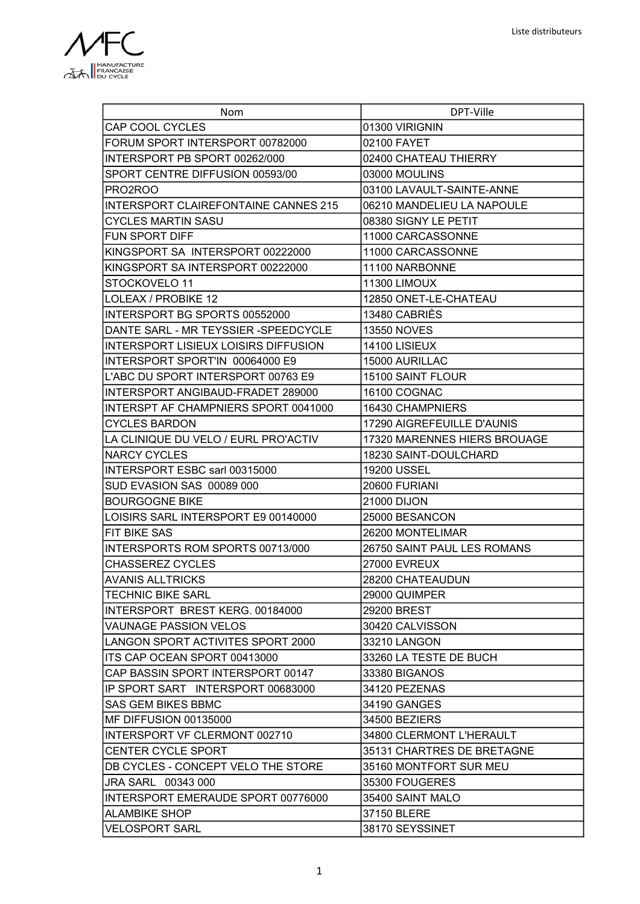

| Nom                                         | DPT-Ville                    |
|---------------------------------------------|------------------------------|
| CAP COOL CYCLES                             | 01300 VIRIGNIN               |
| FORUM SPORT INTERSPORT 00782000             | 02100 FAYET                  |
| INTERSPORT PB SPORT 00262/000               | 02400 CHATEAU THIERRY        |
| SPORT CENTRE DIFFUSION 00593/00             | 03000 MOULINS                |
| PRO2ROO                                     | 03100 LAVAULT-SAINTE-ANNE    |
| <b>INTERSPORT CLAIREFONTAINE CANNES 215</b> | 06210 MANDELIEU LA NAPOULE   |
| CYCLES MARTIN SASU                          | 08380 SIGNY LE PETIT         |
| FUN SPORT DIFF                              | 11000 CARCASSONNE            |
| KINGSPORT SA INTERSPORT 00222000            | 11000 CARCASSONNE            |
| KINGSPORT SA INTERSPORT 00222000            | 11100 NARBONNE               |
| STOCKOVELO 11                               | 11300 LIMOUX                 |
| LOLEAX / PROBIKE 12                         | 12850 ONET-LE-CHATEAU        |
| INTERSPORT BG SPORTS 00552000               | 13480 CABRIÈS                |
| DANTE SARL - MR TEYSSIER -SPEEDCYCLE        | <b>13550 NOVES</b>           |
| INTERSPORT LISIEUX LOISIRS DIFFUSION        | 14100 LISIEUX                |
| INTERSPORT SPORT'IN 00064000 E9             | 15000 AURILLAC               |
| L'ABC DU SPORT INTERSPORT 00763 E9          | 15100 SAINT FLOUR            |
| INTERSPORT ANGIBAUD-FRADET 289000           | <b>16100 COGNAC</b>          |
| INTERSPT AF CHAMPNIERS SPORT 0041000        | 16430 CHAMPNIERS             |
| <b>CYCLES BARDON</b>                        | 17290 AIGREFEUILLE D'AUNIS   |
| LA CLINIQUE DU VELO / EURL PRO'ACTIV        | 17320 MARENNES HIERS BROUAGE |
| <b>NARCY CYCLES</b>                         | 18230 SAINT-DOULCHARD        |
| INTERSPORT ESBC sarl 00315000               | <b>19200 USSEL</b>           |
| SUD EVASION SAS 00089 000                   | 20600 FURIANI                |
| <b>BOURGOGNE BIKE</b>                       | 21000 DIJON                  |
| LOISIRS SARL INTERSPORT E9 00140000         | 25000 BESANCON               |
| <b>FIT BIKE SAS</b>                         | 26200 MONTELIMAR             |
| INTERSPORTS ROM SPORTS 00713/000            | 26750 SAINT PAUL LES ROMANS  |
| <b>CHASSEREZ CYCLES</b>                     | <b>27000 EVREUX</b>          |
| <b>AVANIS ALLTRICKS</b>                     | 28200 CHATEAUDUN             |
| <b>TECHNIC BIKE SARL</b>                    | 29000 QUIMPER                |
| INTERSPORT BREST KERG. 00184000             | 29200 BREST                  |
| <b>VAUNAGE PASSION VELOS</b>                | 30420 CALVISSON              |
| ILANGON SPORT ACTIVITES SPORT 2000          | 33210 LANGON                 |
| ITS CAP OCEAN SPORT 00413000                | 33260 LA TESTE DE BUCH       |
| CAP BASSIN SPORT INTERSPORT 00147           | 33380 BIGANOS                |
| IP SPORT SART INTERSPORT 00683000           | 34120 PEZENAS                |
| <b>SAS GEM BIKES BBMC</b>                   | 34190 GANGES                 |
| MF DIFFUSION 00135000                       | 34500 BEZIERS                |
| INTERSPORT VF CLERMONT 002710               | 34800 CLERMONT L'HERAULT     |
| <b>CENTER CYCLE SPORT</b>                   | 35131 CHARTRES DE BRETAGNE   |
| DB CYCLES - CONCEPT VELO THE STORE          | 35160 MONTFORT SUR MEU       |
| <b>JRA SARL 00343 000</b>                   | 35300 FOUGERES               |
| INTERSPORT EMERAUDE SPORT 00776000          | 35400 SAINT MALO             |
| <b>ALAMBIKE SHOP</b>                        | 37150 BLERE                  |
| <b>VELOSPORT SARL</b>                       | 38170 SEYSSINET              |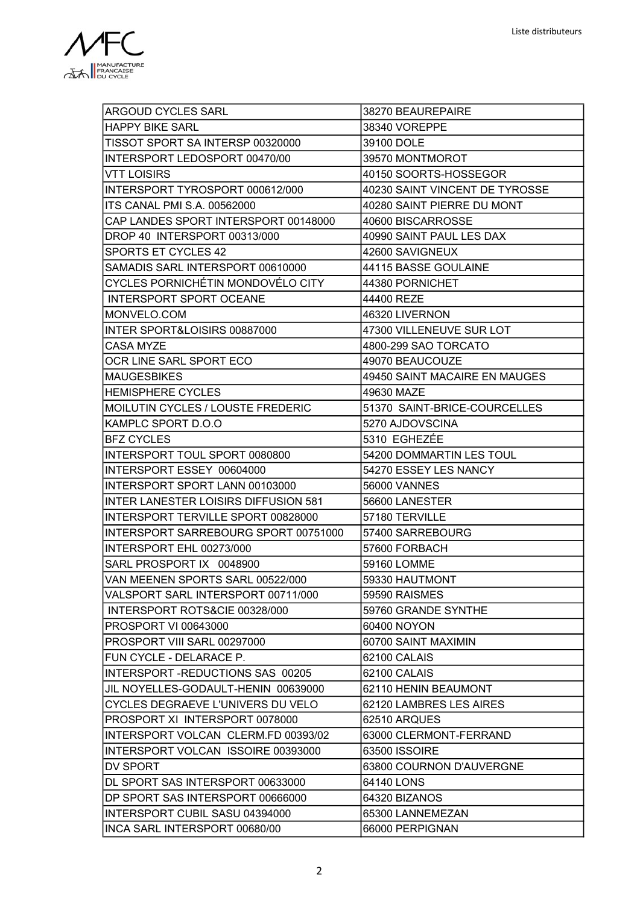

| <b>ARGOUD CYCLES SARL</b>                   | 38270 BEAUREPAIRE              |
|---------------------------------------------|--------------------------------|
| <b>HAPPY BIKE SARL</b>                      | 38340 VOREPPE                  |
| TISSOT SPORT SA INTERSP 00320000            | 39100 DOLE                     |
| INTERSPORT LEDOSPORT 00470/00               | 39570 MONTMOROT                |
| VTT LOISIRS                                 | 40150 SOORTS-HOSSEGOR          |
| INTERSPORT TYROSPORT 000612/000             | 40230 SAINT VINCENT DE TYROSSE |
| ITS CANAL PMI S.A. 00562000                 | 40280 SAINT PIERRE DU MONT     |
| CAP LANDES SPORT INTERSPORT 00148000        | 40600 BISCARROSSE              |
| DROP 40 INTERSPORT 00313/000                | 40990 SAINT PAUL LES DAX       |
| SPORTS ET CYCLES 42                         | 42600 SAVIGNEUX                |
| SAMADIS SARL INTERSPORT 00610000            | 44115 BASSE GOULAINE           |
| CYCLES PORNICHÉTIN MONDOVÉLO CITY           | 44380 PORNICHET                |
| <b>INTERSPORT SPORT OCEANE</b>              | 44400 REZE                     |
| MONVELO.COM                                 | 46320 LIVERNON                 |
| INTER SPORT&LOISIRS 00887000                | 47300 VILLENEUVE SUR LOT       |
| <b>CASA MYZE</b>                            | 4800-299 SAO TORCATO           |
| OCR LINE SARL SPORT ECO                     | 49070 BEAUCOUZE                |
| <b>MAUGESBIKES</b>                          | 49450 SAINT MACAIRE EN MAUGES  |
| <b>HEMISPHERE CYCLES</b>                    | 49630 MAZE                     |
| MOILUTIN CYCLES / LOUSTE FREDERIC           | 51370 SAINT-BRICE-COURCELLES   |
| KAMPLC SPORT D.O.O                          | 5270 AJDOVSCINA                |
| <b>BFZ CYCLES</b>                           | 5310 EGHEZÉE                   |
| INTERSPORT TOUL SPORT 0080800               | 54200 DOMMARTIN LES TOUL       |
| INTERSPORT ESSEY 00604000                   | 54270 ESSEY LES NANCY          |
| INTERSPORT SPORT LANN 00103000              | 56000 VANNES                   |
| <b>INTER LANESTER LOISIRS DIFFUSION 581</b> | 56600 LANESTER                 |
| INTERSPORT TERVILLE SPORT 00828000          | 57180 TERVILLE                 |
| INTERSPORT SARREBOURG SPORT 00751000        | 57400 SARREBOURG               |
| INTERSPORT EHL 00273/000                    | 57600 FORBACH                  |
| SARL PROSPORT IX 0048900                    | 59160 LOMME                    |
| VAN MEENEN SPORTS SARL 00522/000            | 59330 HAUTMONT                 |
| VALSPORT SARL INTERSPORT 00711/000          | 59590 RAISMES                  |
| INTERSPORT ROTS&CIE 00328/000               | 59760 GRANDE SYNTHE            |
| <b>PROSPORT VI 00643000</b>                 | 60400 NOYON                    |
| PROSPORT VIII SARL 00297000                 | 60700 SAINT MAXIMIN            |
| FUN CYCLE - DELARACE P.                     | 62100 CALAIS                   |
| <b>INTERSPORT-REDUCTIONS SAS 00205</b>      | 62100 CALAIS                   |
| JIL NOYELLES-GODAULT-HENIN 00639000         | 62110 HENIN BEAUMONT           |
| CYCLES DEGRAEVE L'UNIVERS DU VELO           | 62120 LAMBRES LES AIRES        |
| PROSPORT XI INTERSPORT 0078000              | 62510 ARQUES                   |
| INTERSPORT VOLCAN CLERM.FD 00393/02         | 63000 CLERMONT-FERRAND         |
| INTERSPORT VOLCAN ISSOIRE 00393000          | 63500 ISSOIRE                  |
| DV SPORT                                    | 63800 COURNON D'AUVERGNE       |
| DL SPORT SAS INTERSPORT 00633000            | 64140 LONS                     |
| DP SPORT SAS INTERSPORT 00666000            | 64320 BIZANOS                  |
| INTERSPORT CUBIL SASU 04394000              | 65300 LANNEMEZAN               |
| INCA SARL INTERSPORT 00680/00               | 66000 PERPIGNAN                |